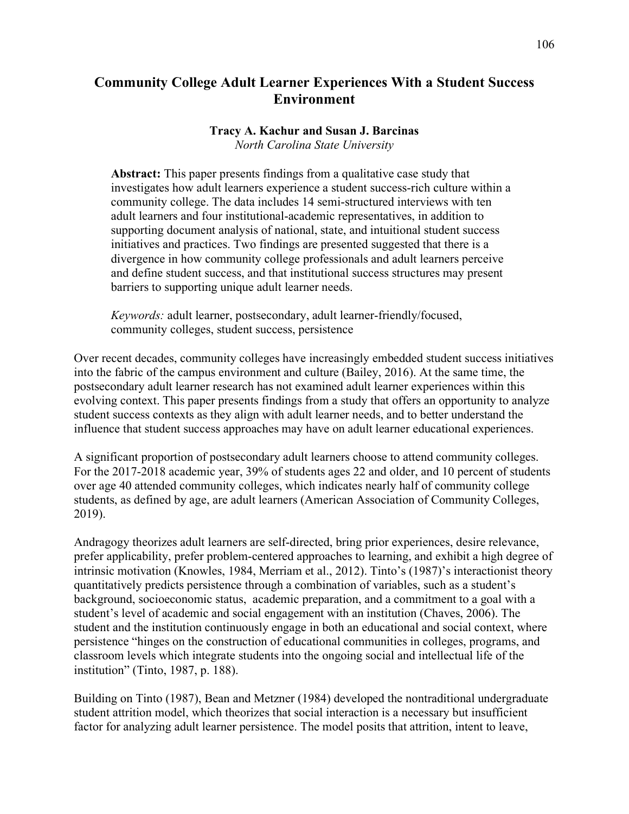# **Community College Adult Learner Experiences With a Student Success Environment**

## **Tracy A. Kachur and Susan J. Barcinas**

*North Carolina State University*

**Abstract:** This paper presents findings from a qualitative case study that investigates how adult learners experience a student success-rich culture within a community college. The data includes 14 semi-structured interviews with ten adult learners and four institutional-academic representatives, in addition to supporting document analysis of national, state, and intuitional student success initiatives and practices. Two findings are presented suggested that there is a divergence in how community college professionals and adult learners perceive and define student success, and that institutional success structures may present barriers to supporting unique adult learner needs.

*Keywords:* adult learner, postsecondary, adult learner-friendly/focused, community colleges, student success, persistence

Over recent decades, community colleges have increasingly embedded student success initiatives into the fabric of the campus environment and culture (Bailey, 2016). At the same time, the postsecondary adult learner research has not examined adult learner experiences within this evolving context. This paper presents findings from a study that offers an opportunity to analyze student success contexts as they align with adult learner needs, and to better understand the influence that student success approaches may have on adult learner educational experiences.

A significant proportion of postsecondary adult learners choose to attend community colleges. For the 2017-2018 academic year, 39% of students ages 22 and older, and 10 percent of students over age 40 attended community colleges, which indicates nearly half of community college students, as defined by age, are adult learners (American Association of Community Colleges, 2019).

Andragogy theorizes adult learners are self-directed, bring prior experiences, desire relevance, prefer applicability, prefer problem-centered approaches to learning, and exhibit a high degree of intrinsic motivation (Knowles, 1984, Merriam et al., 2012). Tinto's (1987)'s interactionist theory quantitatively predicts persistence through a combination of variables, such as a student's background, socioeconomic status, academic preparation, and a commitment to a goal with a student's level of academic and social engagement with an institution (Chaves, 2006). The student and the institution continuously engage in both an educational and social context, where persistence "hinges on the construction of educational communities in colleges, programs, and classroom levels which integrate students into the ongoing social and intellectual life of the institution" (Tinto, 1987, p. 188).

Building on Tinto (1987), Bean and Metzner (1984) developed the nontraditional undergraduate student attrition model, which theorizes that social interaction is a necessary but insufficient factor for analyzing adult learner persistence. The model posits that attrition, intent to leave,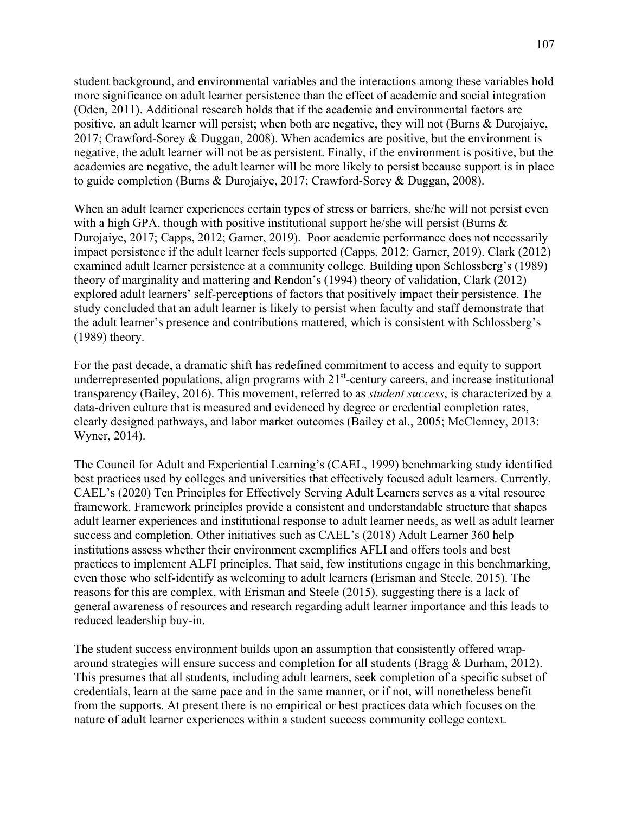student background, and environmental variables and the interactions among these variables hold more significance on adult learner persistence than the effect of academic and social integration (Oden, 2011). Additional research holds that if the academic and environmental factors are positive, an adult learner will persist; when both are negative, they will not (Burns & Durojaiye, 2017; Crawford-Sorey & Duggan, 2008). When academics are positive, but the environment is negative, the adult learner will not be as persistent. Finally, if the environment is positive, but the academics are negative, the adult learner will be more likely to persist because support is in place to guide completion (Burns & Durojaiye, 2017; Crawford-Sorey & Duggan, 2008).

When an adult learner experiences certain types of stress or barriers, she/he will not persist even with a high GPA, though with positive institutional support he/she will persist (Burns  $\&$ Durojaiye, 2017; Capps, 2012; Garner, 2019). Poor academic performance does not necessarily impact persistence if the adult learner feels supported (Capps, 2012; Garner, 2019). Clark (2012) examined adult learner persistence at a community college. Building upon Schlossberg's (1989) theory of marginality and mattering and Rendon's (1994) theory of validation, Clark (2012) explored adult learners' self-perceptions of factors that positively impact their persistence. The study concluded that an adult learner is likely to persist when faculty and staff demonstrate that the adult learner's presence and contributions mattered, which is consistent with Schlossberg's (1989) theory.

For the past decade, a dramatic shift has redefined commitment to access and equity to support underrepresented populations, align programs with  $21<sup>st</sup>$ -century careers, and increase institutional transparency (Bailey, 2016). This movement, referred to as *student success*, is characterized by a data-driven culture that is measured and evidenced by degree or credential completion rates, clearly designed pathways, and labor market outcomes (Bailey et al., 2005; McClenney, 2013: Wyner, 2014).

The Council for Adult and Experiential Learning's (CAEL, 1999) benchmarking study identified best practices used by colleges and universities that effectively focused adult learners. Currently, CAEL's (2020) Ten Principles for Effectively Serving Adult Learners serves as a vital resource framework. Framework principles provide a consistent and understandable structure that shapes adult learner experiences and institutional response to adult learner needs, as well as adult learner success and completion. Other initiatives such as CAEL's (2018) Adult Learner 360 help institutions assess whether their environment exemplifies AFLI and offers tools and best practices to implement ALFI principles. That said, few institutions engage in this benchmarking, even those who self-identify as welcoming to adult learners (Erisman and Steele, 2015). The reasons for this are complex, with Erisman and Steele (2015), suggesting there is a lack of general awareness of resources and research regarding adult learner importance and this leads to reduced leadership buy-in.

The student success environment builds upon an assumption that consistently offered wraparound strategies will ensure success and completion for all students (Bragg & Durham, 2012). This presumes that all students, including adult learners, seek completion of a specific subset of credentials, learn at the same pace and in the same manner, or if not, will nonetheless benefit from the supports. At present there is no empirical or best practices data which focuses on the nature of adult learner experiences within a student success community college context.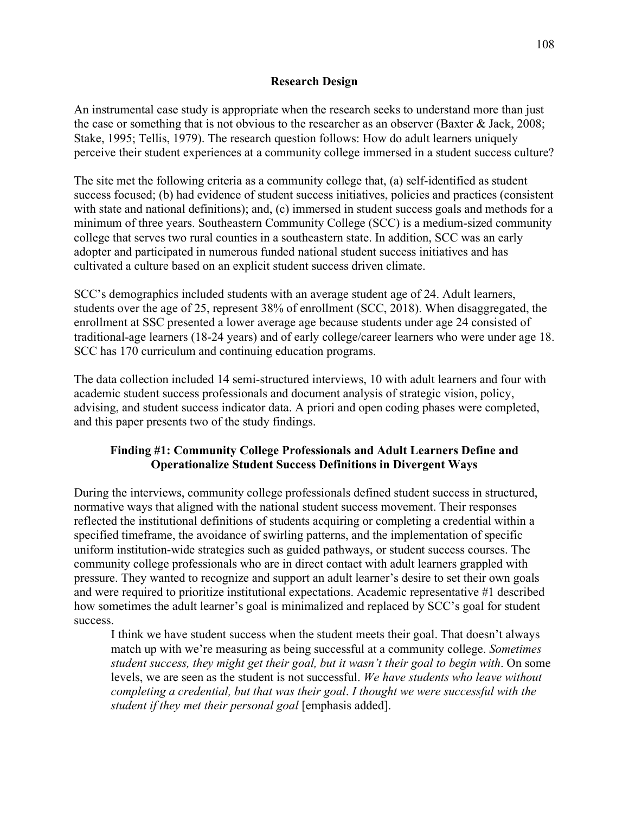## **Research Design**

An instrumental case study is appropriate when the research seeks to understand more than just the case or something that is not obvious to the researcher as an observer (Baxter & Jack, 2008; Stake, 1995; Tellis, 1979). The research question follows: How do adult learners uniquely perceive their student experiences at a community college immersed in a student success culture?

The site met the following criteria as a community college that, (a) self-identified as student success focused; (b) had evidence of student success initiatives, policies and practices (consistent with state and national definitions); and, (c) immersed in student success goals and methods for a minimum of three years. Southeastern Community College (SCC) is a medium-sized community college that serves two rural counties in a southeastern state. In addition, SCC was an early adopter and participated in numerous funded national student success initiatives and has cultivated a culture based on an explicit student success driven climate.

SCC's demographics included students with an average student age of 24. Adult learners, students over the age of 25, represent 38% of enrollment (SCC, 2018). When disaggregated, the enrollment at SSC presented a lower average age because students under age 24 consisted of traditional-age learners (18-24 years) and of early college/career learners who were under age 18. SCC has 170 curriculum and continuing education programs.

The data collection included 14 semi-structured interviews, 10 with adult learners and four with academic student success professionals and document analysis of strategic vision, policy, advising, and student success indicator data. A priori and open coding phases were completed, and this paper presents two of the study findings.

## **Finding #1: Community College Professionals and Adult Learners Define and Operationalize Student Success Definitions in Divergent Ways**

During the interviews, community college professionals defined student success in structured, normative ways that aligned with the national student success movement. Their responses reflected the institutional definitions of students acquiring or completing a credential within a specified timeframe, the avoidance of swirling patterns, and the implementation of specific uniform institution-wide strategies such as guided pathways, or student success courses. The community college professionals who are in direct contact with adult learners grappled with pressure. They wanted to recognize and support an adult learner's desire to set their own goals and were required to prioritize institutional expectations. Academic representative #1 described how sometimes the adult learner's goal is minimalized and replaced by SCC's goal for student success.

I think we have student success when the student meets their goal. That doesn't always match up with we're measuring as being successful at a community college. *Sometimes student success, they might get their goal, but it wasn't their goal to begin with*. On some levels, we are seen as the student is not successful. *We have students who leave without completing a credential, but that was their goal*. *I thought we were successful with the student if they met their personal goal* [emphasis added].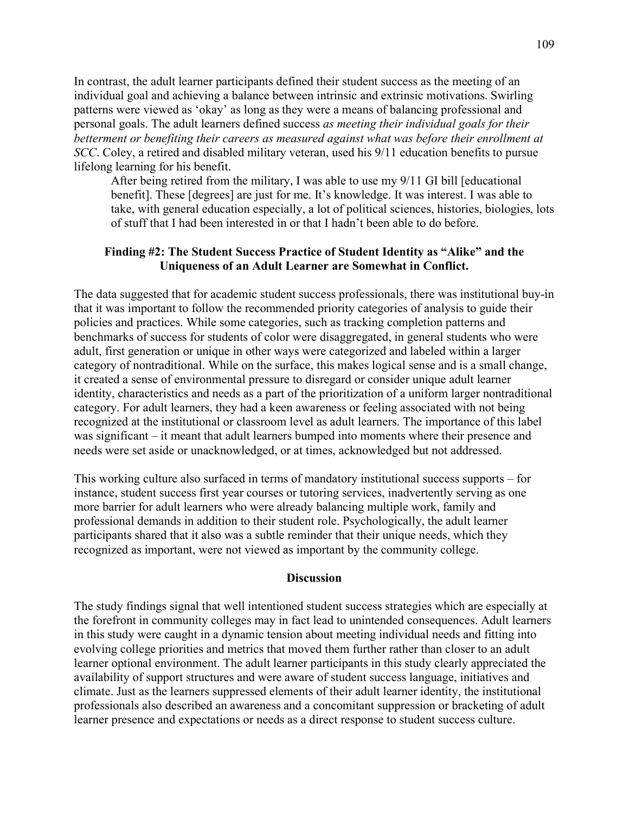In contrast, the adult learner participants defined their student success as the meeting of an individual goal and achieving a balance between intrinsic and extrinsic motivations. Swirling patterns were viewed as 'okay' as long as they were a means of balancing professional and personal goals. The adult learners defined success *as meeting their individual goals for their betterment or benefiting their careers as measured against what was before their enrollment at SCC*. Coley, a retired and disabled military veteran, used his 9/11 education benefits to pursue lifelong learning for his benefit.

After being retired from the military, I was able to use my 9/11 GI bill [educational benefit]. These [degrees] are just for me. It's knowledge. It was interest. I was able to take, with general education especially, a lot of political sciences, histories, biologies, lots of stuff that I had been interested in or that I hadn't been able to do before.

## **Finding #2: The Student Success Practice of Student Identity as "Alike" and the Uniqueness of an Adult Learner are Somewhat in Conflict.**

The data suggested that for academic student success professionals, there was institutional buy-in that it was important to follow the recommended priority categories of analysis to guide their policies and practices. While some categories, such as tracking completion patterns and benchmarks of success for students of color were disaggregated, in general students who were adult, first generation or unique in other ways were categorized and labeled within a larger category of nontraditional. While on the surface, this makes logical sense and is a small change, it created a sense of environmental pressure to disregard or consider unique adult learner identity, characteristics and needs as a part of the prioritization of a uniform larger nontraditional category. For adult learners, they had a keen awareness or feeling associated with not being recognized at the institutional or classroom level as adult learners. The importance of this label was significant – it meant that adult learners bumped into moments where their presence and needs were set aside or unacknowledged, or at times, acknowledged but not addressed.

This working culture also surfaced in terms of mandatory institutional success supports – for instance, student success first year courses or tutoring services, inadvertently serving as one more barrier for adult learners who were already balancing multiple work, family and professional demands in addition to their student role. Psychologically, the adult learner participants shared that it also was a subtle reminder that their unique needs, which they recognized as important, were not viewed as important by the community college.

### **Discussion**

The study findings signal that well intentioned student success strategies which are especially at the forefront in community colleges may in fact lead to unintended consequences. Adult learners in this study were caught in a dynamic tension about meeting individual needs and fitting into evolving college priorities and metrics that moved them further rather than closer to an adult learner optional environment. The adult learner participants in this study clearly appreciated the availability of support structures and were aware of student success language, initiatives and climate. Just as the learners suppressed elements of their adult learner identity, the institutional professionals also described an awareness and a concomitant suppression or bracketing of adult learner presence and expectations or needs as a direct response to student success culture.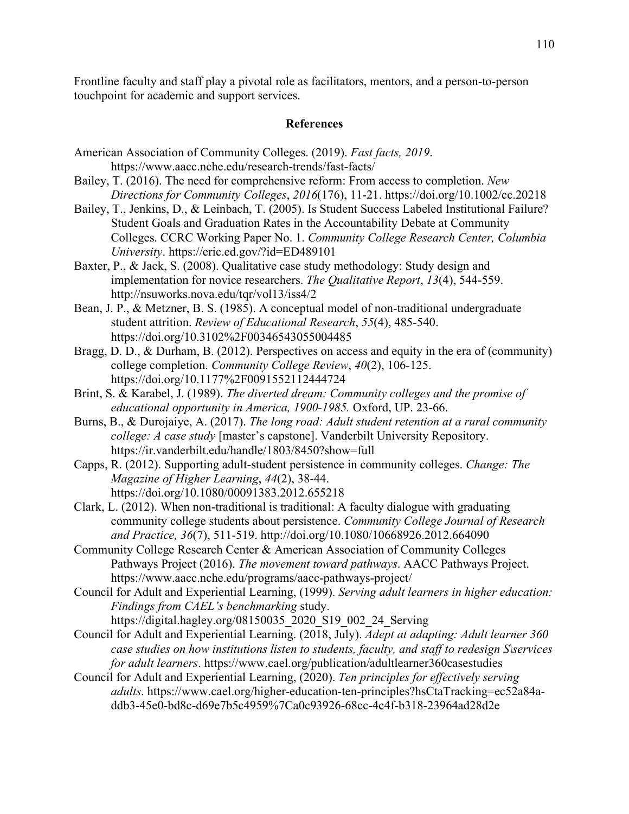Frontline faculty and staff play a pivotal role as facilitators, mentors, and a person-to-person touchpoint for academic and support services.

### **References**

- American Association of Community Colleges. (2019). *Fast facts, 2019*. <https://www.aacc.nche.edu/research-trends/fast-facts/>
- Bailey, T. (2016). The need for comprehensive reform: From access to completion. *New Directions for Community Colleges*, *2016*(176), 11-21.<https://doi.org/10.1002/cc.20218>
- Bailey, T., Jenkins, D., & Leinbach, T. (2005). Is Student Success Labeled Institutional Failure? Student Goals and Graduation Rates in the Accountability Debate at Community Colleges. CCRC Working Paper No. 1. *Community College Research Center, Columbia University*.<https://eric.ed.gov/?id=ED489101>
- Baxter, P., & Jack, S. (2008). Qualitative case study methodology: Study design and implementation for novice researchers. *The Qualitative Report*, *13*(4), 544-559. <http://nsuworks.nova.edu/tqr/vol13/iss4/2>
- Bean, J. P., & Metzner, B. S. (1985). A conceptual model of non-traditional undergraduate student attrition. *Review of Educational Research*, *55*(4), 485-540. <https://doi.org/10.3102%2F00346543055004485>
- Bragg, D. D., & Durham, B. (2012). Perspectives on access and equity in the era of (community) college completion. *Community College Review*, *40*(2), 106-125. <https://doi.org/10.1177%2F0091552112444724>
- Brint, S. & Karabel, J. (1989). *The diverted dream: Community colleges and the promise of educational opportunity in America, 1900-1985.* Oxford, UP. 23-66.
- Burns, B., & Durojaiye, A. (2017). *The long road: Adult student retention at a rural community college: A case study* [master's capstone]. Vanderbilt University Repository. <https://ir.vanderbilt.edu/handle/1803/8450?show=full>
- Capps, R. (2012). Supporting adult-student persistence in community colleges. *Change: The Magazine of Higher Learning*, *44*(2), 38-44. <https://doi.org/10.1080/00091383.2012.655218>
- Clark, L. (2012). When non-traditional is traditional: A faculty dialogue with graduating community college students about persistence. *Community College Journal of Research and Practice, 36*(7), 511-519.<http://doi.org/10.1080/10668926.2012.664090>
- Community College Research Center & American Association of Community Colleges Pathways Project (2016). *The movement toward pathways*. AACC Pathways Project. <https://www.aacc.nche.edu/programs/aacc-pathways-project/>
- Council for Adult and Experiential Learning, (1999). *Serving adult learners in higher education: Findings from CAEL's benchmarking* study.
	- [https://digital.hagley.org/08150035\\_2020\\_S19\\_002\\_24\\_Serving](https://digital.hagley.org/08150035_2020_S19_002_24_Serving)
- Council for Adult and Experiential Learning. (2018, July). *Adept at adapting: Adult learner 360 case studies on how institutions listen to students, faculty, and staff to redesign S\services for adult learners*.<https://www.cael.org/publication/adultlearner360casestudies>
- Council for Adult and Experiential Learning, (2020). *Ten principles for effectively serving adults*. [https://www.cael.org/higher-education-ten-principles?hsCtaTracking=ec52a84a](https://www.cael.org/higher-education-ten-principles?hsCtaTracking=ec52a84a-ddb3-45e0-bd8c-d69e7b5c4959%7Ca0c93926-68cc-4c4f-b318-23964ad28d2e)[ddb3-45e0-bd8c-d69e7b5c4959%7Ca0c93926-68cc-4c4f-b318-23964ad28d2e](https://www.cael.org/higher-education-ten-principles?hsCtaTracking=ec52a84a-ddb3-45e0-bd8c-d69e7b5c4959%7Ca0c93926-68cc-4c4f-b318-23964ad28d2e)